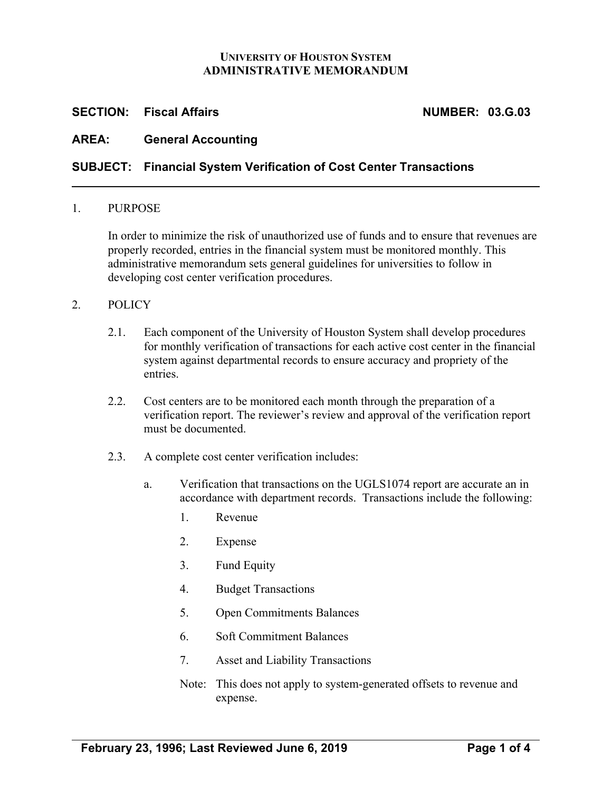### **UNIVERSITY OF HOUSTON SYSTEM ADMINISTRATIVE MEMORANDUM**

## **SECTION:** Fiscal Affairs **NUMBER: 03.G.03**

# **AREA: General Accounting**

## **SUBJECT: Financial System Verification of Cost Center Transactions**

#### 1. PURPOSE

In order to minimize the risk of unauthorized use of funds and to ensure that revenues are properly recorded, entries in the financial system must be monitored monthly. This administrative memorandum sets general guidelines for universities to follow in developing cost center verification procedures.

#### 2. POLICY

- 2.1. Each component of the University of Houston System shall develop procedures for monthly verification of transactions for each active cost center in the financial system against departmental records to ensure accuracy and propriety of the entries.
- 2.2. Cost centers are to be monitored each month through the preparation of a verification report. The reviewer's review and approval of the verification report must be documented.
- 2.3. A complete cost center verification includes:
	- a. Verification that transactions on the UGLS1074 report are accurate an in accordance with department records. Transactions include the following:
		- 1. Revenue
		- 2. Expense
		- 3. Fund Equity
		- 4. Budget Transactions
		- 5. Open Commitments Balances
		- 6. Soft Commitment Balances
		- 7. Asset and Liability Transactions
		- Note: This does not apply to system-generated offsets to revenue and expense.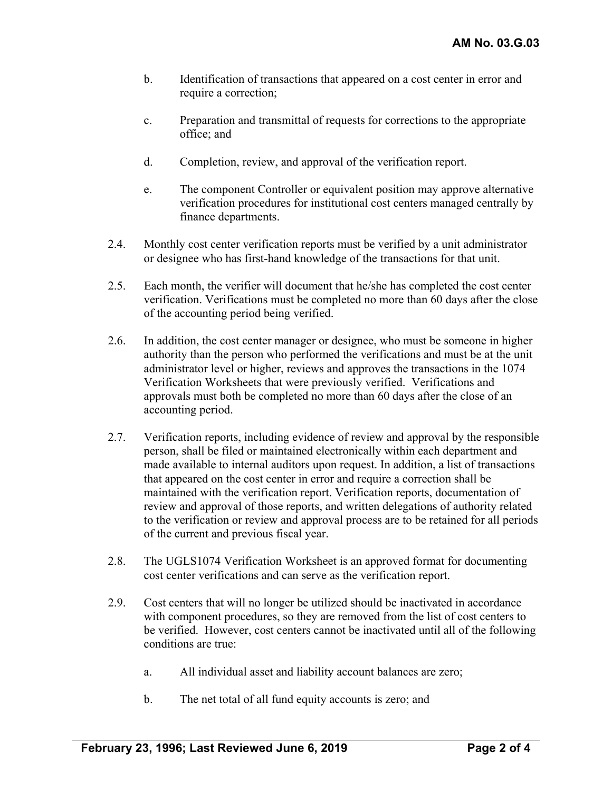- b. Identification of transactions that appeared on a cost center in error and require a correction;
- c. Preparation and transmittal of requests for corrections to the appropriate office; and
- d. Completion, review, and approval of the verification report.
- e. The component Controller or equivalent position may approve alternative verification procedures for institutional cost centers managed centrally by finance departments.
- 2.4. Monthly cost center verification reports must be verified by a unit administrator or designee who has first-hand knowledge of the transactions for that unit.
- 2.5. Each month, the verifier will document that he/she has completed the cost center verification. Verifications must be completed no more than 60 days after the close of the accounting period being verified.
- 2.6. In addition, the cost center manager or designee, who must be someone in higher authority than the person who performed the verifications and must be at the unit administrator level or higher, reviews and approves the transactions in the 1074 Verification Worksheets that were previously verified. Verifications and approvals must both be completed no more than 60 days after the close of an accounting period.
- 2.7. Verification reports, including evidence of review and approval by the responsible person, shall be filed or maintained electronically within each department and made available to internal auditors upon request. In addition, a list of transactions that appeared on the cost center in error and require a correction shall be maintained with the verification report. Verification reports, documentation of review and approval of those reports, and written delegations of authority related to the verification or review and approval process are to be retained for all periods of the current and previous fiscal year.
- 2.8. The UGLS1074 Verification Worksheet is an approved format for documenting cost center verifications and can serve as the verification report.
- 2.9. Cost centers that will no longer be utilized should be inactivated in accordance with component procedures, so they are removed from the list of cost centers to be verified. However, cost centers cannot be inactivated until all of the following conditions are true:
	- a. All individual asset and liability account balances are zero;
	- b. The net total of all fund equity accounts is zero; and